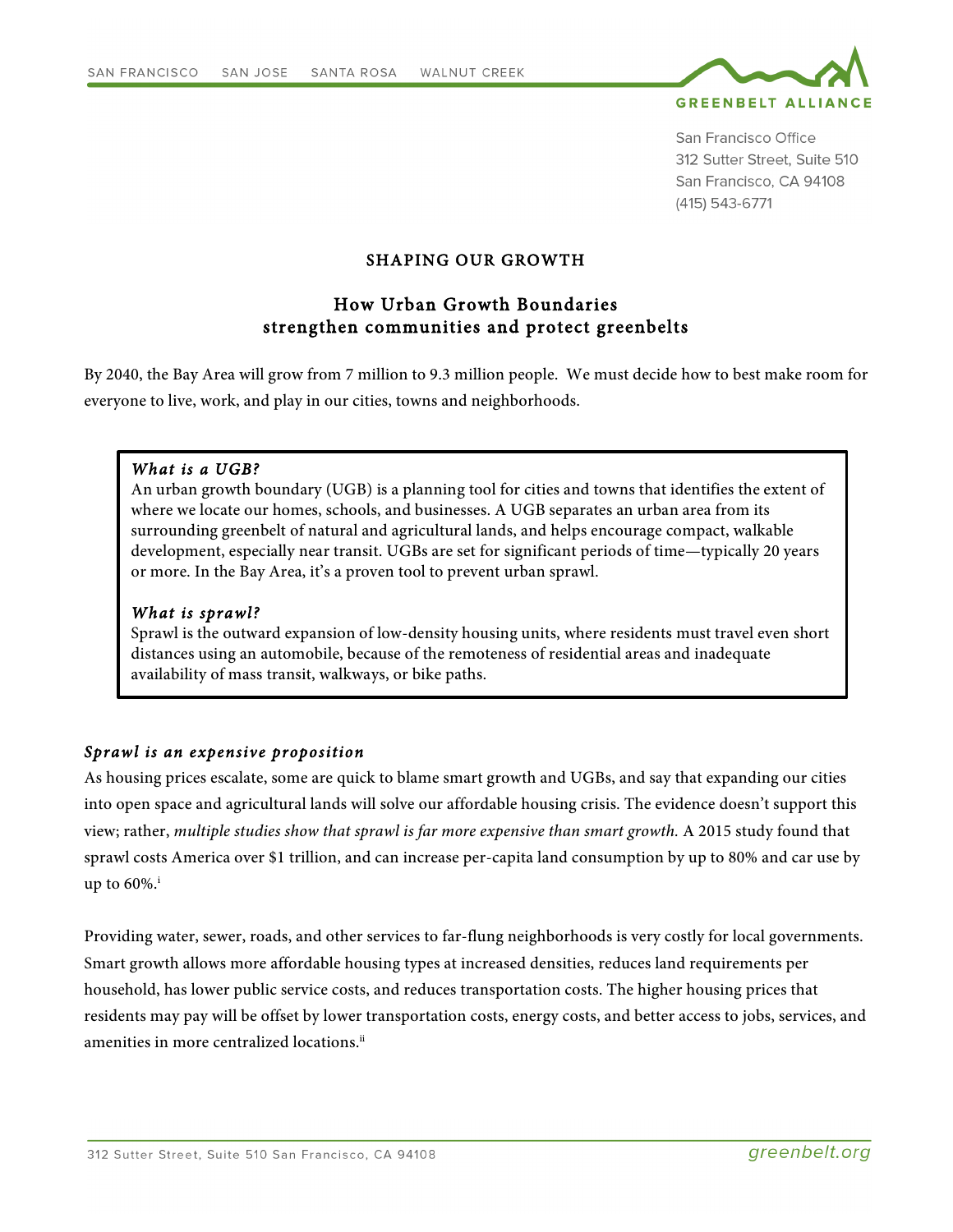

San Francisco Office 312 Sutter Street, Suite 510 San Francisco, CA 94108 (415) 543-6771

# SHAPING OUR GROWTH

# How Urban Growth Boundaries strengthen communities and protect greenbelts

By 2040, the Bay Area will grow from 7 million to 9.3 million people. We must decide how to best make room for everyone to live, work, and play in our cities, towns and neighborhoods.

#### *What is a UGB?*

An urban growth boundary (UGB) is a planning tool for cities and towns that identifies the extent of where we locate our homes, schools, and businesses. A UGB separates an urban area from its surrounding greenbelt of natural and agricultural lands, and helps encourage compact, walkable development, especially near transit. UGBs are set for significant periods of time—typically 20 years or more. In the Bay Area, it's a proven tool to prevent urban sprawl.

#### *What is sprawl?*

Sprawl is the outward expansion of low-density housing units, where residents must travel even short distances using an automobile, because of the remoteness of residential areas and inadequate availability of mass transit, walkways, or bike paths.

# *Sprawl is an expensive proposition*

As housing prices escalate, some are quick to blame smart growth and UGBs, and say that expanding our cities into open space and agricultural lands will solve our affordable housing crisis. The evidence doesn't support this view; rather, *multiple studies show that sprawl is far more expensive than smart growth.* A 2015 study found that sprawl costs America over \$1 trillion, and can increase per-capita land consumption by up to 80% and car use by up to  $60\%$ <sup>i</sup>

Providing water, sewer, roads, and other services to far-flung neighborhoods is very costly for local governments. Smart growth allows more affordable housing types at increased densities, reduces land requirements per household, has lower public service costs, and reduces transportation costs. The higher housing prices that residents may pay will be offset by lower transportation costs, energy costs, and better access to jobs, services, and amenities in more centralized locations.<sup>ii</sup>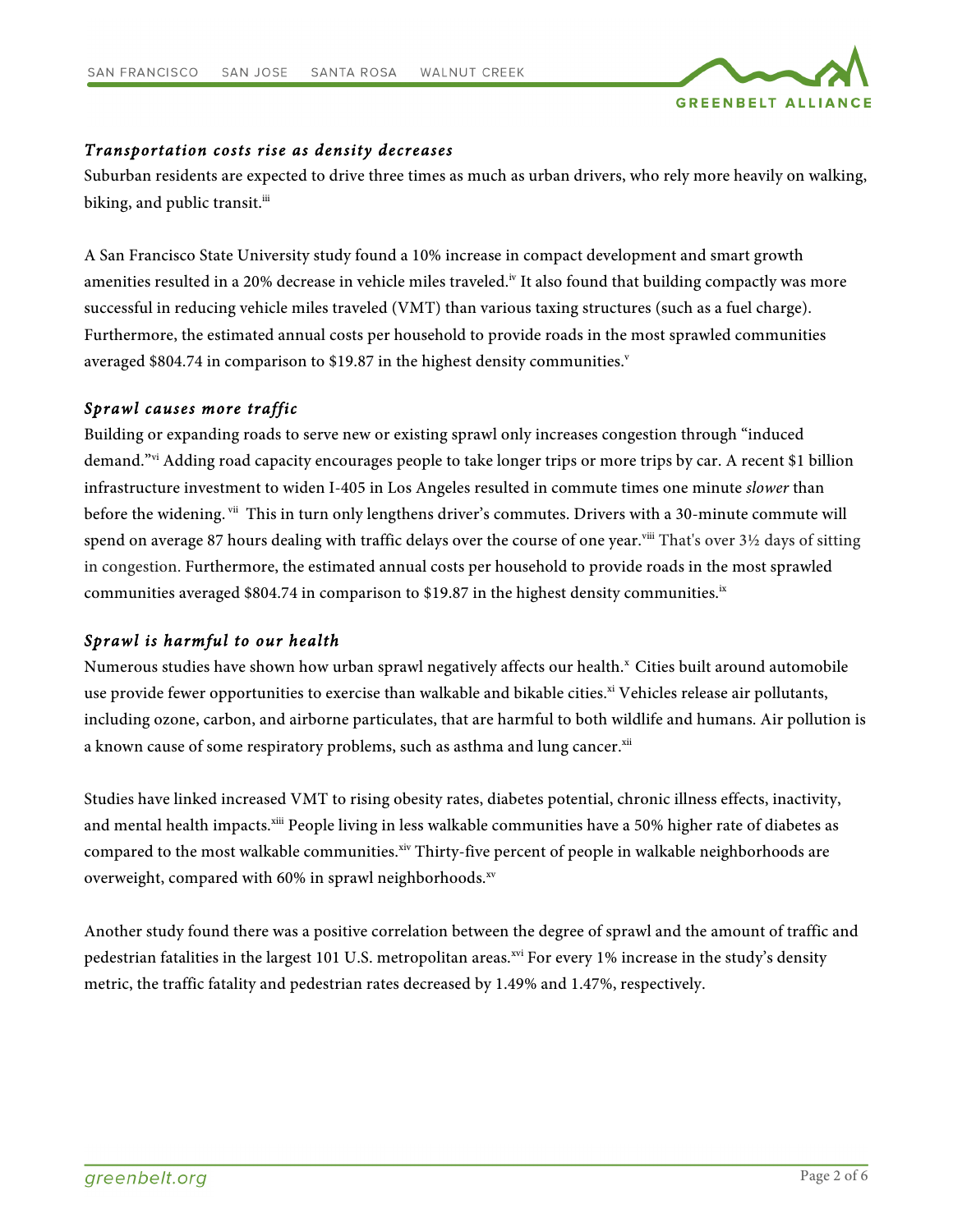

# *Transportation costs rise as density decreases*

Suburban residents are expected to drive three times as much as urban drivers, who rely more heavily on walking, biking, and public transit.<sup>iii</sup>

A San Francisco State University study found a 10% increase in compact development and smart growth amenities resulted in a 20% decrease in vehicle miles traveled.<sup>iv</sup> It also found that building compactly was more successful in reducing vehicle miles traveled (VMT) than various taxing structures (such as a fuel charge). Furthermore, the estimated annual costs per household to provide roads in the most sprawled communities averaged \$804.74 in comparison to \$19.87 in the highest density communities.<sup>v</sup>

### *Sprawl causes more traffic*

Building or expanding roads to serve new or existing sprawl only increases congestion through "induced demand."vi Adding road capacity encourages people to take longer trips or more trips by car. A recent \$1 billion infrastructure investment to widen I-405 in Los Angeles resulted in commute times one minute *slower* than before the widening. Vii This in turn only lengthens driver's commutes. Drivers with a 30-minute commute will spend on average 87 hours dealing with traffic delays over the course of one year.<sup>viii</sup> That's over 3½ days of sitting in congestion. Furthermore, the estimated annual costs per household to provide roads in the most sprawled communities averaged \$804.74 in comparison to \$19.87 in the highest density communities.<sup>ix</sup>

### *Sprawl is harmful to our health*

Numerous studies have shown how urban sprawl negatively affects our health.<sup>x</sup> Cities built around automobile use provide fewer opportunities to exercise than walkable and bikable cities.<sup>xi</sup> Vehicles release air pollutants, including ozone, carbon, and airborne particulates, that are harmful to both wildlife and humans. Air pollution is a known cause of some respiratory problems, such as asthma and lung cancer.<sup>xii</sup>

Studies have linked increased VMT to rising obesity rates, diabetes potential, chronic illness effects, inactivity, and mental health impacts.<sup>xiii</sup> People living in less walkable communities have a 50% higher rate of diabetes as compared to the most walkable communities.<sup>xiv</sup> Thirty-five percent of people in walkable neighborhoods are overweight, compared with 60% in sprawl neighborhoods. $x<sub>v</sub>$ 

Another study found there was a positive correlation between the degree of sprawl and the amount of traffic and pedestrian fatalities in the largest 101 U.S. metropolitan areas.<sup>xvi</sup> For every 1% increase in the study's density metric, the traffic fatality and pedestrian rates decreased by 1.49% and 1.47%, respectively.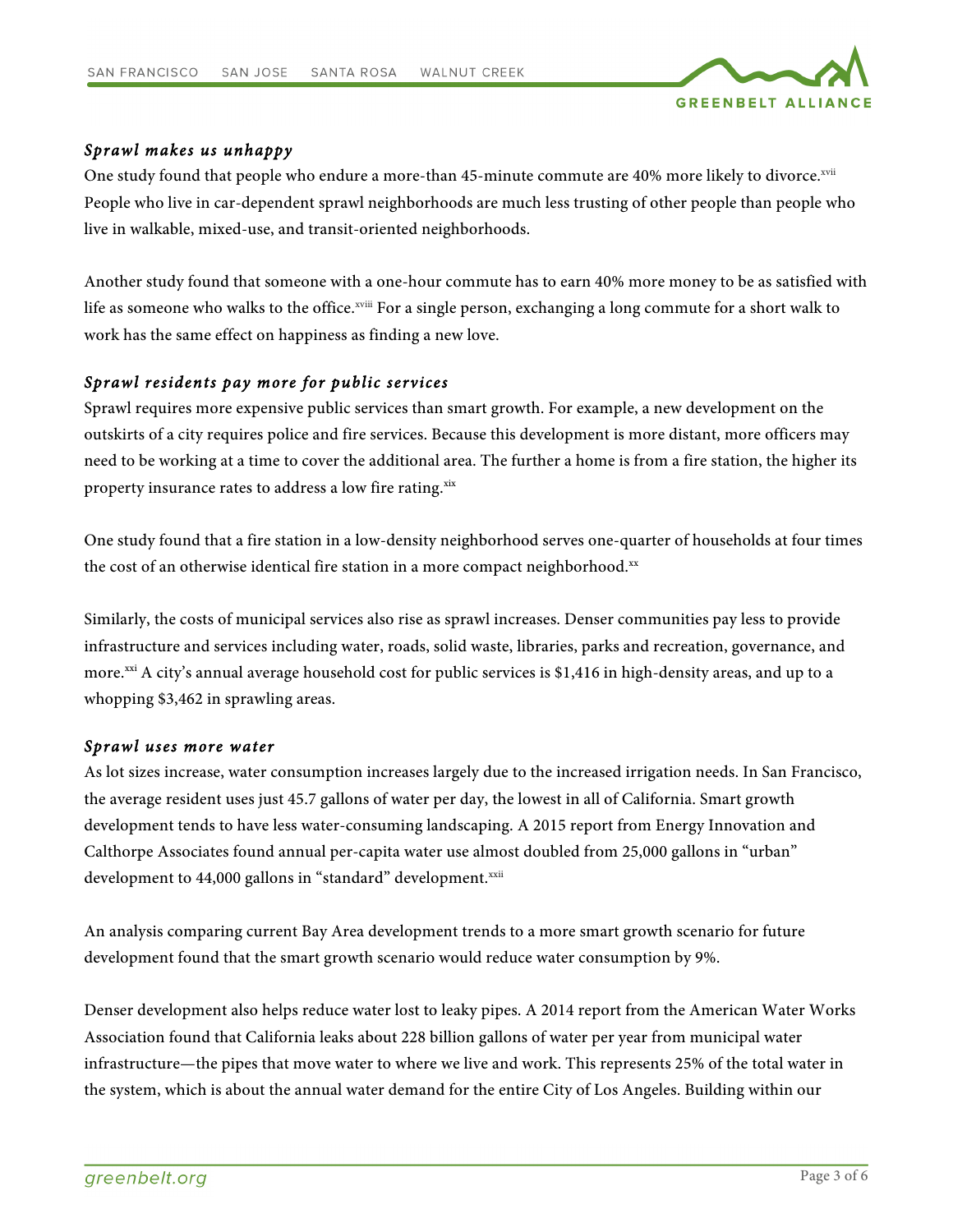

# *Sprawl makes us unhappy*

One study found that people who endure a more-than 45-minute commute are 40% more likely to divorce.<sup>xvii</sup> People who live in car-dependent sprawl neighborhoods are much less trusting of other people than people who live in walkable, mixed-use, and transit-oriented neighborhoods.

Another study found that someone with a one-hour commute has to earn 40% more money to be as satisfied with life as someone who walks to the office.<sup>xviii</sup> For a single person, exchanging a long commute for a short walk to work has the same effect on happiness as finding a new love.

### *Sprawl residents pay more for public services*

Sprawl requires more expensive public services than smart growth. For example, a new development on the outskirts of a city requires police and fire services. Because this development is more distant, more officers may need to be working at a time to cover the additional area. The further a home is from a fire station, the higher its property insurance rates to address a low fire rating.<sup>xix</sup>

One study found that a fire station in a low-density neighborhood serves one-quarter of households at four times the cost of an otherwise identical fire station in a more compact neighborhood. $^{xx}$ 

Similarly, the costs of municipal services also rise as sprawl increases. Denser communities pay less to provide infrastructure and services including water, roads, solid waste, libraries, parks and recreation, governance, and more.<sup>xxi</sup> A city's annual average household cost for public services is \$1,416 in high-density areas, and up to a whopping \$3,462 in sprawling areas.

### *Sprawl uses more water*

As lot sizes increase, water consumption increases largely due to the increased irrigation needs. In San Francisco, the average resident uses just 45.7 gallons of water per day, the lowest in all of California. Smart growth development tends to have less water-consuming landscaping. A 2015 report from Energy Innovation and Calthorpe Associates found annual per-capita water use almost doubled from 25,000 gallons in "urban" development to 44,000 gallons in "standard" development.<sup>xxii</sup>

An analysis comparing current Bay Area development trends to a more smart growth scenario for future development found that the smart growth scenario would reduce water consumption by 9%.

Denser development also helps reduce water lost to leaky pipes. A 2014 report from the American Water Works Association found that California leaks about 228 billion gallons of water per year from municipal water infrastructure—the pipes that move water to where we live and work. This represents 25% of the total water in the system, which is about the annual water demand for the entire City of Los Angeles. Building within our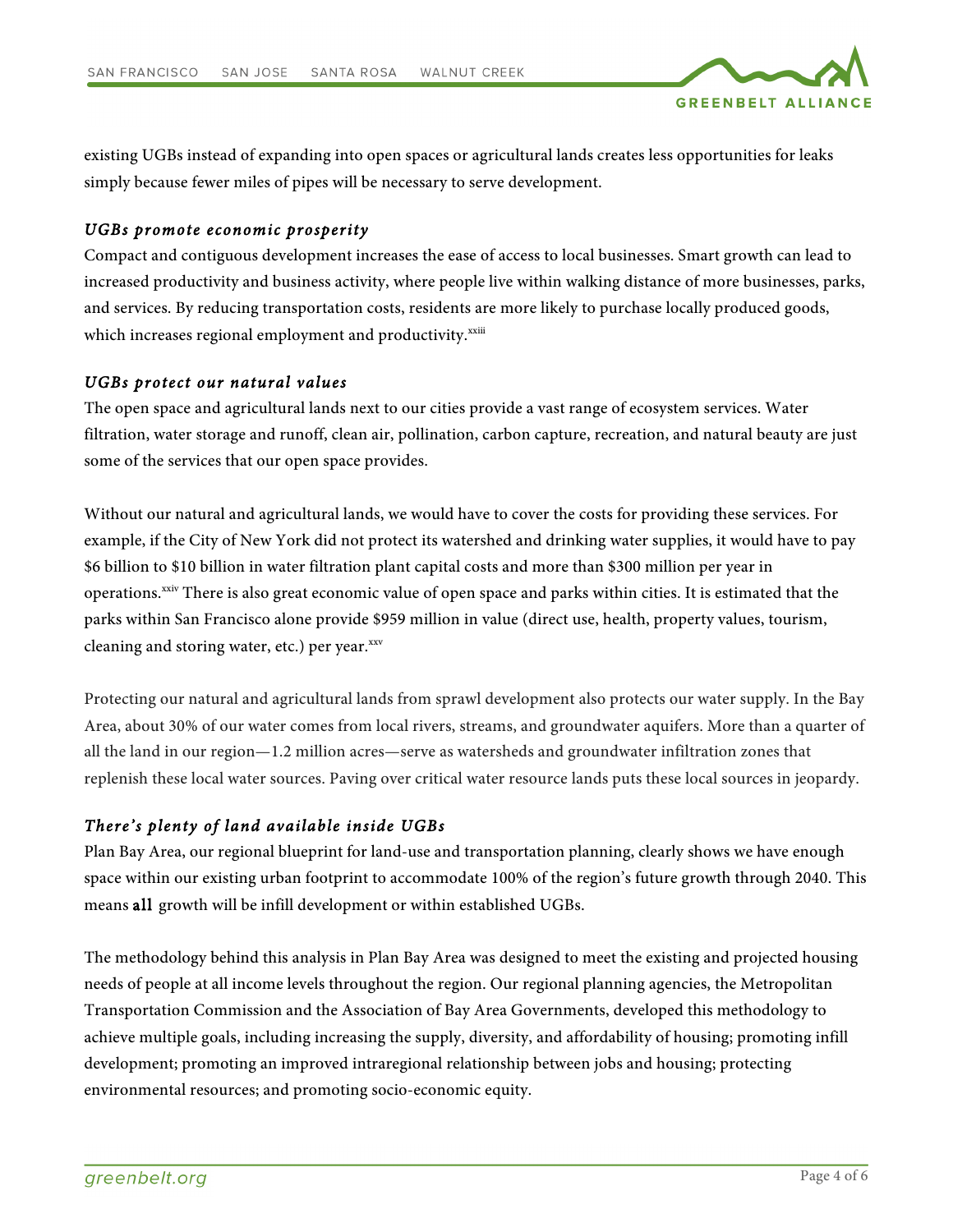

existing UGBs instead of expanding into open spaces or agricultural lands creates less opportunities for leaks simply because fewer miles of pipes will be necessary to serve development.

# *UGBs promote economic prosperity*

Compact and contiguous development increases the ease of access to local businesses. Smart growth can lead to increased productivity and business activity, where people live within walking distance of more businesses, parks, and services. By reducing transportation costs, residents are more likely to purchase locally produced goods, which increases regional employment and productivity.<sup>xxiii</sup>

### *UGBs protect our natural values*

The open space and agricultural lands next to our cities provide a vast range of ecosystem services. Water filtration, water storage and runoff, clean air, pollination, carbon capture, recreation, and natural beauty are just some of the services that our open space provides.

Without our natural and agricultural lands, we would have to cover the costs for providing these services. For example, if the City of New York did not protect its watershed and drinking water supplies, it would have to pay \$6 billion to \$10 billion in water filtration plant capital costs and more than \$300 million per year in operations.<sup>xxiv</sup> There is also great economic value of open space and parks within cities. It is estimated that the parks within San Francisco alone provide \$959 million in value (direct use, health, property values, tourism, cleaning and storing water, etc.) per year.xxv

Protecting our natural and agricultural lands from sprawl development also protects our water supply. In the Bay Area, about 30% of our water comes from local rivers, streams, and groundwater aquifers. More than a quarter of all the land in our region—1.2 million acres—serve as watersheds and groundwater infiltration zones that replenish these local water sources. Paving over critical water resource lands puts these local sources in jeopardy.

# *There's plenty of land available inside UGBs*

Plan Bay Area, our regional blueprint for land-use and transportation planning, clearly shows we have enough space within our existing urban footprint to accommodate 100% of the region's future growth through 2040. This means all growth will be infill development or within established UGBs.

The methodology behind this analysis in Plan Bay Area was designed to meet the existing and projected housing needs of people at all income levels throughout the region. Our regional planning agencies, the Metropolitan Transportation Commission and the Association of Bay Area Governments, developed this methodology to achieve multiple goals, including increasing the supply, diversity, and affordability of housing; promoting infill development; promoting an improved intraregional relationship between jobs and housing; protecting environmental resources; and promoting socio-economic equity.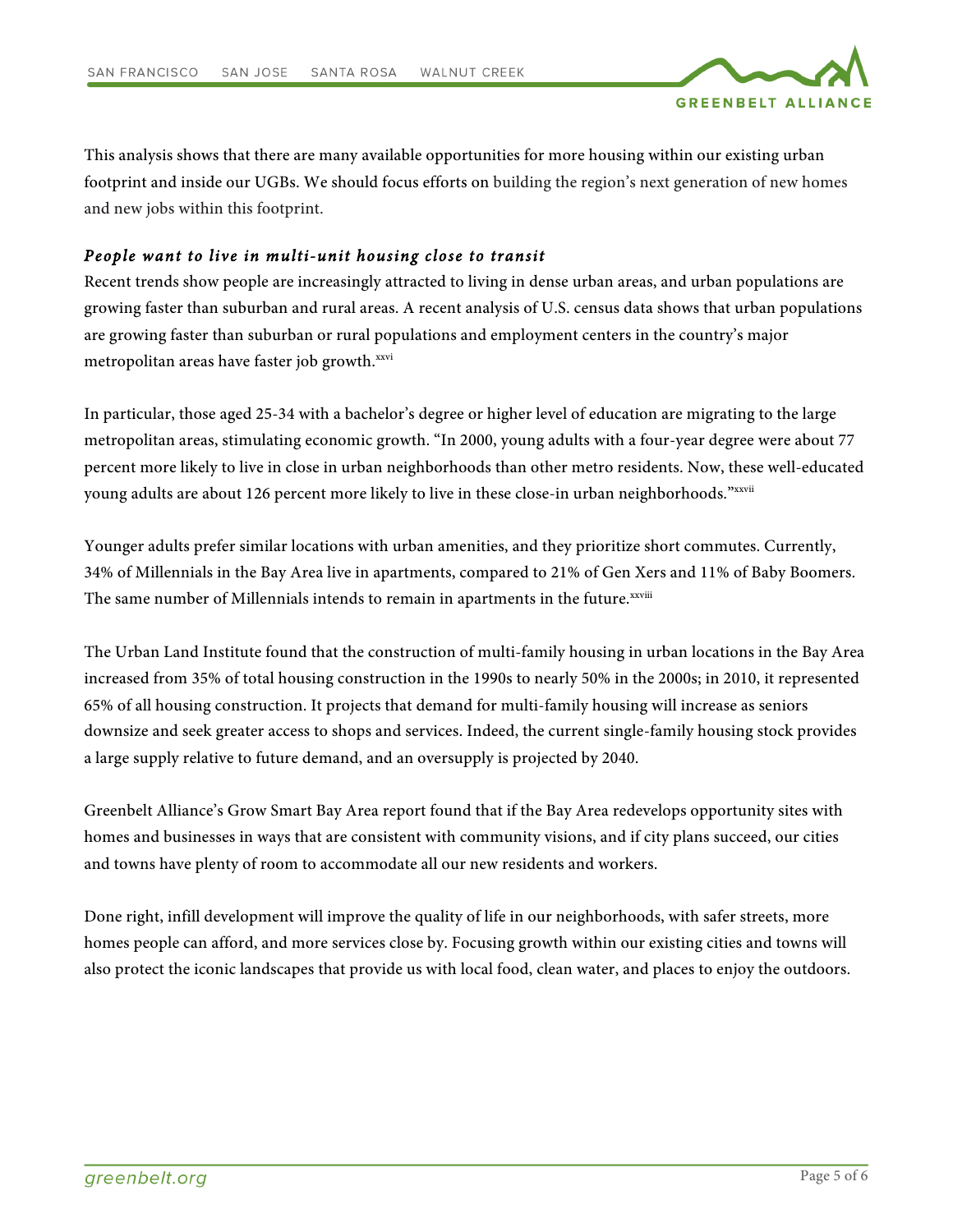

This analysis shows that there are many available opportunities for more housing within our existing urban footprint and inside our UGBs. We should focus efforts on building the region's next generation of new homes and new jobs within this footprint.

# *People want to live in multi-unit housing close to transit*

Recent trends show people are increasingly attracted to living in dense urban areas, and urban populations are growing faster than suburban and rural areas. A recent analysis of U.S. census data shows that urban populations are growing faster than suburban or rural populations and employment centers in the country's major metropolitan areas have faster job growth.xxvi

In particular, those aged 25-34 with a bachelor's degree or higher level of education are migrating to the large metropolitan areas, stimulating economic growth. "In 2000, young adults with a four-year degree were about 77 percent more likely to live in close in urban neighborhoods than other metro residents. Now, these well-educated young adults are about 126 percent more likely to live in these close-in urban neighborhoods."xxvii

Younger adults prefer similar locations with urban amenities, and they prioritize short commutes. Currently, 34% of Millennials in the Bay Area live in apartments, compared to 21% of Gen Xers and 11% of Baby Boomers. The same number of Millennials intends to remain in apartments in the future.<sup>xxviii</sup>

The Urban Land Institute found that the construction of multi-family housing in urban locations in the Bay Area increased from 35% of total housing construction in the 1990s to nearly 50% in the 2000s; in 2010, it represented 65% of all housing construction. It projects that demand for multi-family housing will increase as seniors downsize and seek greater access to shops and services. Indeed, the current single-family housing stock provides a large supply relative to future demand, and an oversupply is projected by 2040.

Greenbelt Alliance's Grow Smart Bay Area report found that if the Bay Area redevelops opportunity sites with homes and businesses in ways that are consistent with community visions, and if city plans succeed, our cities and towns have plenty of room to accommodate all our new residents and workers.

Done right, infill development will improve the quality of life in our neighborhoods, with safer streets, more homes people can afford, and more services close by. Focusing growth within our existing cities and towns will also protect the iconic landscapes that provide us with local food, clean water, and places to enjoy the outdoors.